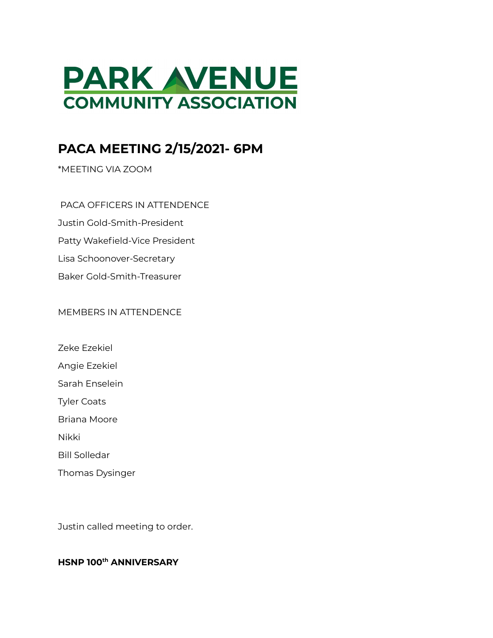

# **PACA MEETING 2/15/2021- 6PM**

\*MEETING VIA ZOOM

PACA OFFICERS IN ATTENDENCE Justin Gold-Smith-President Patty Wakefield-Vice President Lisa Schoonover-Secretary Baker Gold-Smith-Treasurer

### MEMBERS IN ATTENDENCE

Zeke Ezekiel Angie Ezekiel Sarah Enselein Tyler Coats Briana Moore Nikki

Bill Solledar

Thomas Dysinger

Justin called meeting to order.

## **HSNP 100 th ANNIVERSARY**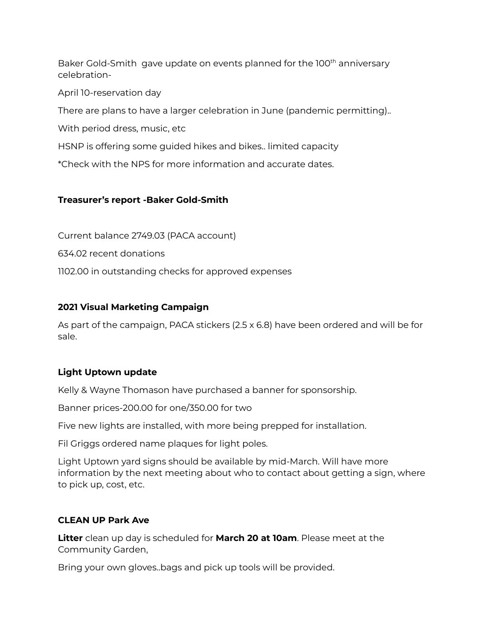Baker Gold-Smith gave update on events planned for the 100<sup>th</sup> anniversary celebration-

April 10-reservation day

There are plans to have a larger celebration in June (pandemic permitting)..

With period dress, music, etc

HSNP is offering some guided hikes and bikes.. limited capacity

\*Check with the NPS for more information and accurate dates.

# **Treasurer's report -Baker Gold-Smith**

Current balance 2749.03 (PACA account)

634.02 recent donations

1102.00 in outstanding checks for approved expenses

## **2021 Visual Marketing Campaign**

As part of the campaign, PACA stickers (2.5 x 6.8) have been ordered and will be for sale.

## **Light Uptown update**

Kelly & Wayne Thomason have purchased a banner for sponsorship.

Banner prices-200.00 for one/350.00 for two

Five new lights are installed, with more being prepped for installation.

Fil Griggs ordered name plaques for light poles.

Light Uptown yard signs should be available by mid-March. Will have more information by the next meeting about who to contact about getting a sign, where to pick up, cost, etc.

## **CLEAN UP Park Ave**

**Litter** clean up day is scheduled for **March 20 at 10am**. Please meet at the Community Garden,

Bring your own gloves..bags and pick up tools will be provided.